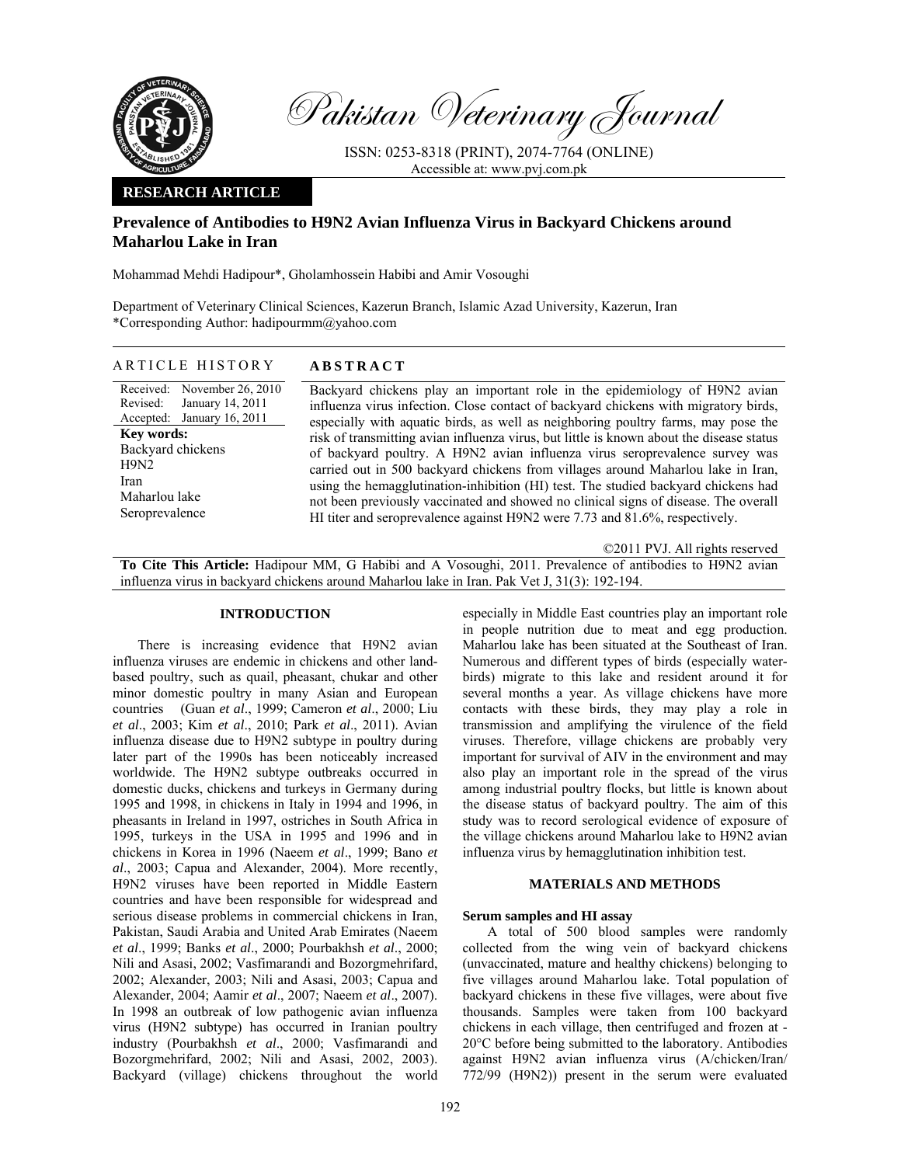

Pakistan Veterinary Journal

ISSN: 0253-8318 (PRINT), 2074-7764 (ONLINE) Accessible at: www.pvj.com.pk

# **RESEARCH ARTICLE**

# **Prevalence of Antibodies to H9N2 Avian Influenza Virus in Backyard Chickens around Maharlou Lake in Iran**

Mohammad Mehdi Hadipour\*, Gholamhossein Habibi and Amir Vosoughi

Department of Veterinary Clinical Sciences, Kazerun Branch, Islamic Azad University, Kazerun, Iran \*Corresponding Author: hadipourmm@yahoo.com

### ARTICLE HISTORY **ABSTRACT**

Received: Revised: Accepted: November 26, 2010 January 14, 2011 January 16, 2011 **Key words:**  Backyard chickens H9N2 Iran Maharlou lake Seroprevalence

Backyard chickens play an important role in the epidemiology of H9N2 avian influenza virus infection. Close contact of backyard chickens with migratory birds, especially with aquatic birds, as well as neighboring poultry farms, may pose the risk of transmitting avian influenza virus, but little is known about the disease status of backyard poultry. A H9N2 avian influenza virus seroprevalence survey was carried out in 500 backyard chickens from villages around Maharlou lake in Iran, using the hemagglutination-inhibition (HI) test. The studied backyard chickens had not been previously vaccinated and showed no clinical signs of disease. The overall HI titer and seroprevalence against H9N2 were 7.73 and 81.6%, respectively.

©2011 PVJ. All rights reserved

**To Cite This Article:** Hadipour MM, G Habibi and A Vosoughi, 2011. Prevalence of antibodies to H9N2 avian influenza virus in backyard chickens around Maharlou lake in Iran. Pak Vet J, 31(3): 192-194.

#### **INTRODUCTION**

There is increasing evidence that H9N2 avian influenza viruses are endemic in chickens and other landbased poultry, such as quail, pheasant, chukar and other minor domestic poultry in many Asian and European countries (Guan *et al*., 1999; Cameron *et al*., 2000; Liu *et al*., 2003; Kim *et al*., 2010; Park *et al*., 2011). Avian influenza disease due to H9N2 subtype in poultry during later part of the 1990s has been noticeably increased worldwide. The H9N2 subtype outbreaks occurred in domestic ducks, chickens and turkeys in Germany during 1995 and 1998, in chickens in Italy in 1994 and 1996, in pheasants in Ireland in 1997, ostriches in South Africa in 1995, turkeys in the USA in 1995 and 1996 and in chickens in Korea in 1996 (Naeem *et al*., 1999; Bano *et al*., 2003; Capua and Alexander, 2004). More recently, H9N2 viruses have been reported in Middle Eastern countries and have been responsible for widespread and serious disease problems in commercial chickens in Iran, Pakistan, Saudi Arabia and United Arab Emirates (Naeem *et al*., 1999; Banks *et al*., 2000; Pourbakhsh *et al*., 2000; Nili and Asasi, 2002; Vasfimarandi and Bozorgmehrifard, 2002; Alexander, 2003; Nili and Asasi, 2003; Capua and Alexander, 2004; Aamir *et al*., 2007; Naeem *et al*., 2007). In 1998 an outbreak of low pathogenic avian influenza virus (H9N2 subtype) has occurred in Iranian poultry industry (Pourbakhsh *et al*., 2000; Vasfimarandi and Bozorgmehrifard, 2002; Nili and Asasi, 2002, 2003). Backyard (village) chickens throughout the world

especially in Middle East countries play an important role in people nutrition due to meat and egg production. Maharlou lake has been situated at the Southeast of Iran. Numerous and different types of birds (especially waterbirds) migrate to this lake and resident around it for several months a year. As village chickens have more contacts with these birds, they may play a role in transmission and amplifying the virulence of the field viruses. Therefore, village chickens are probably very important for survival of AIV in the environment and may also play an important role in the spread of the virus among industrial poultry flocks, but little is known about the disease status of backyard poultry. The aim of this study was to record serological evidence of exposure of the village chickens around Maharlou lake to H9N2 avian influenza virus by hemagglutination inhibition test.

#### **MATERIALS AND METHODS**

### **Serum samples and HI assay**

A total of 500 blood samples were randomly collected from the wing vein of backyard chickens (unvaccinated, mature and healthy chickens) belonging to five villages around Maharlou lake. Total population of backyard chickens in these five villages, were about five thousands. Samples were taken from 100 backyard chickens in each village, then centrifuged and frozen at - 20°C before being submitted to the laboratory. Antibodies against H9N2 avian influenza virus (A/chicken/Iran/ 772/99 (H9N2)) present in the serum were evaluated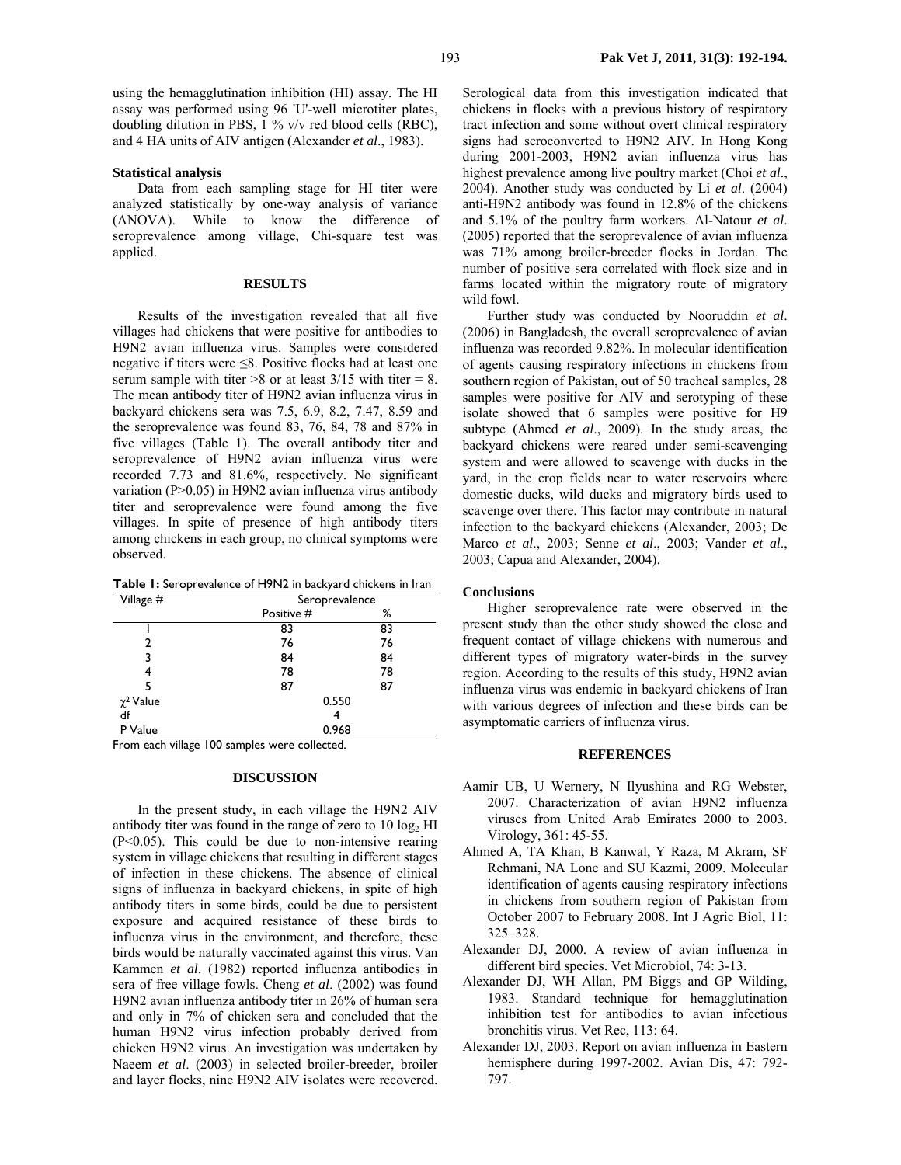#### **Statistical analysis**

Data from each sampling stage for HI titer were analyzed statistically by one-way analysis of variance (ANOVA). While to know the difference of seroprevalence among village, Chi-square test was applied.

# **RESULTS**

Results of the investigation revealed that all five villages had chickens that were positive for antibodies to H9N2 avian influenza virus. Samples were considered negative if titers were ≤8. Positive flocks had at least one serum sample with titer  $>8$  or at least  $3/15$  with titer = 8. The mean antibody titer of H9N2 avian influenza virus in backyard chickens sera was 7.5, 6.9, 8.2, 7.47, 8.59 and the seroprevalence was found 83, 76, 84, 78 and 87% in five villages (Table 1). The overall antibody titer and seroprevalence of H9N2 avian influenza virus were recorded 7.73 and 81.6%, respectively. No significant variation (P>0.05) in H9N2 avian influenza virus antibody titer and seroprevalence were found among the five villages. In spite of presence of high antibody titers among chickens in each group, no clinical symptoms were observed.

| Table 1: Seroprevalence of H9N2 in backyard chickens in Iran |  |  |
|--------------------------------------------------------------|--|--|
|--------------------------------------------------------------|--|--|

| Village #      | Seroprevalence |    |  |
|----------------|----------------|----|--|
|                | Positive #     | ℅  |  |
|                | 83             | 83 |  |
| 2              | 76             | 76 |  |
| 3              | 84             | 84 |  |
| 4              | 78             | 78 |  |
| 5              | 87             | 87 |  |
| $\chi^2$ Value | 0.550          |    |  |
| df             | 4              |    |  |
| P Value        | 0.968          |    |  |

From each village 100 samples were collected.

# **DISCUSSION**

In the present study, in each village the H9N2 AIV antibody titer was found in the range of zero to  $10 \log_2 H$ I (P<0.05). This could be due to non-intensive rearing system in village chickens that resulting in different stages of infection in these chickens. The absence of clinical signs of influenza in backyard chickens, in spite of high antibody titers in some birds, could be due to persistent exposure and acquired resistance of these birds to influenza virus in the environment, and therefore, these birds would be naturally vaccinated against this virus. Van Kammen *et al*. (1982) reported influenza antibodies in sera of free village fowls. Cheng *et al*. (2002) was found H9N2 avian influenza antibody titer in 26% of human sera and only in 7% of chicken sera and concluded that the human H9N2 virus infection probably derived from chicken H9N2 virus. An investigation was undertaken by Naeem *et al*. (2003) in selected broiler-breeder, broiler and layer flocks, nine H9N2 AIV isolates were recovered.

Serological data from this investigation indicated that chickens in flocks with a previous history of respiratory tract infection and some without overt clinical respiratory signs had seroconverted to H9N2 AIV. In Hong Kong during 2001-2003, H9N2 avian influenza virus has highest prevalence among live poultry market (Choi *et al*., 2004). Another study was conducted by Li *et al*. (2004) anti-H9N2 antibody was found in 12.8% of the chickens and 5.1% of the poultry farm workers. Al-Natour *et al*. (2005) reported that the seroprevalence of avian influenza was 71% among broiler-breeder flocks in Jordan. The number of positive sera correlated with flock size and in farms located within the migratory route of migratory wild fowl.

Further study was conducted by Nooruddin *et al*. (2006) in Bangladesh, the overall seroprevalence of avian influenza was recorded 9.82%. In molecular identification of agents causing respiratory infections in chickens from southern region of Pakistan, out of 50 tracheal samples, 28 samples were positive for AIV and serotyping of these isolate showed that 6 samples were positive for H9 subtype (Ahmed *et al*., 2009). In the study areas, the backyard chickens were reared under semi-scavenging system and were allowed to scavenge with ducks in the yard, in the crop fields near to water reservoirs where domestic ducks, wild ducks and migratory birds used to scavenge over there. This factor may contribute in natural infection to the backyard chickens (Alexander, 2003; De Marco *et al*., 2003; Senne *et al*., 2003; Vander *et al*., 2003; Capua and Alexander, 2004).

#### **Conclusions**

Higher seroprevalence rate were observed in the present study than the other study showed the close and frequent contact of village chickens with numerous and different types of migratory water-birds in the survey region. According to the results of this study, H9N2 avian influenza virus was endemic in backyard chickens of Iran with various degrees of infection and these birds can be asymptomatic carriers of influenza virus.

#### **REFERENCES**

- Aamir UB, U Wernery, N Ilyushina and RG Webster, 2007. Characterization of avian H9N2 influenza viruses from United Arab Emirates 2000 to 2003. Virology, 361: 45-55.
- Ahmed A, TA Khan, B Kanwal, Y Raza, M Akram, SF Rehmani, NA Lone and SU Kazmi, 2009. Molecular identification of agents causing respiratory infections in chickens from southern region of Pakistan from October 2007 to February 2008. Int J Agric Biol, 11: 325–328.
- Alexander DJ, 2000. A review of avian influenza in different bird species. Vet Microbiol, 74: 3-13.
- Alexander DJ, WH Allan, PM Biggs and GP Wilding, 1983. Standard technique for hemagglutination inhibition test for antibodies to avian infectious bronchitis virus. Vet Rec, 113: 64.
- Alexander DJ, 2003. Report on avian influenza in Eastern hemisphere during 1997-2002. Avian Dis, 47: 792- 797.